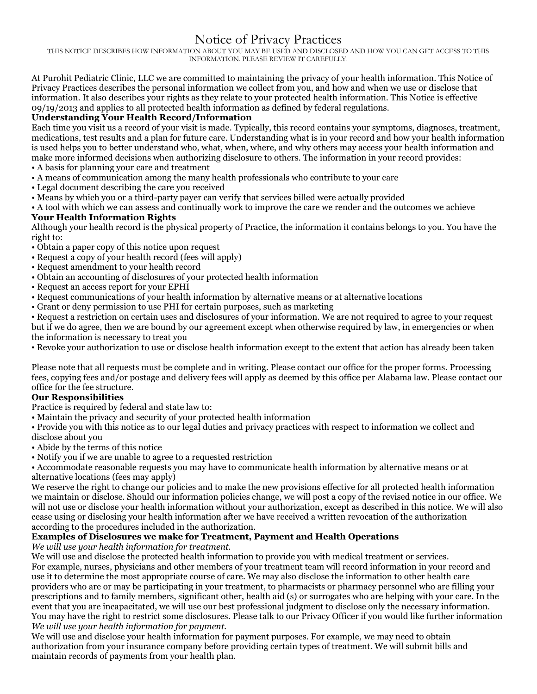# Notice of Privacy Practices

THIS NOTICE DESCRIBES HOW INFORMATION ABOUT YOU MAY BE USED AND DISCLOSED AND HOW YOU CAN GET ACCESS TO THIS INFORMATION. PLEASE REVIEW IT CAREFULLY.

At Purohit Pediatric Clinic, LLC we are committed to maintaining the privacy of your health information. This Notice of Privacy Practices describes the personal information we collect from you, and how and when we use or disclose that information. It also describes your rights as they relate to your protected health information. This Notice is effective 09/19/2013 and applies to all protected health information as defined by federal regulations.

## **Understanding Your Health Record/Information**

Each time you visit us a record of your visit is made. Typically, this record contains your symptoms, diagnoses, treatment, medications, test results and a plan for future care. Understanding what is in your record and how your health information is used helps you to better understand who, what, when, where, and why others may access your health information and make more informed decisions when authorizing disclosure to others. The information in your record provides:

- A basis for planning your care and treatment
- A means of communication among the many health professionals who contribute to your care
- Legal document describing the care you received
- Means by which you or a third-party payer can verify that services billed were actually provided

• A tool with which we can assess and continually work to improve the care we render and the outcomes we achieve

### **Your Health Information Rights**

Although your health record is the physical property of Practice, the information it contains belongs to you. You have the right to:

- Obtain a paper copy of this notice upon request
- Request a copy of your health record (fees will apply)
- Request amendment to your health record
- Obtain an accounting of disclosures of your protected health information
- Request an access report for your EPHI
- Request communications of your health information by alternative means or at alternative locations
- Grant or deny permission to use PHI for certain purposes, such as marketing

• Request a restriction on certain uses and disclosures of your information. We are not required to agree to your request but if we do agree, then we are bound by our agreement except when otherwise required by law, in emergencies or when the information is necessary to treat you

• Revoke your authorization to use or disclose health information except to the extent that action has already been taken

Please note that all requests must be complete and in writing. Please contact our office for the proper forms. Processing fees, copying fees and/or postage and delivery fees will apply as deemed by this office per Alabama law. Please contact our office for the fee structure.

#### **Our Responsibilities**

Practice is required by federal and state law to:

• Maintain the privacy and security of your protected health information

• Provide you with this notice as to our legal duties and privacy practices with respect to information we collect and disclose about you

- Abide by the terms of this notice
- Notify you if we are unable to agree to a requested restriction

• Accommodate reasonable requests you may have to communicate health information by alternative means or at alternative locations (fees may apply)

We reserve the right to change our policies and to make the new provisions effective for all protected health information we maintain or disclose. Should our information policies change, we will post a copy of the revised notice in our office. We will not use or disclose your health information without your authorization, except as described in this notice. We will also cease using or disclosing your health information after we have received a written revocation of the authorization according to the procedures included in the authorization.

## **Examples of Disclosures we make for Treatment, Payment and Health Operations**

*We will use your health information for treatment.* 

We will use and disclose the protected health information to provide you with medical treatment or services. For example, nurses, physicians and other members of your treatment team will record information in your record and use it to determine the most appropriate course of care. We may also disclose the information to other health care providers who are or may be participating in your treatment, to pharmacists or pharmacy personnel who are filling your prescriptions and to family members, significant other, health aid (s) or surrogates who are helping with your care. In the event that you are incapacitated, we will use our best professional judgment to disclose only the necessary information. You may have the right to restrict some disclosures. Please talk to our Privacy Officer if you would like further information *We will use your health information for payment.* 

We will use and disclose your health information for payment purposes. For example, we may need to obtain authorization from your insurance company before providing certain types of treatment. We will submit bills and maintain records of payments from your health plan.